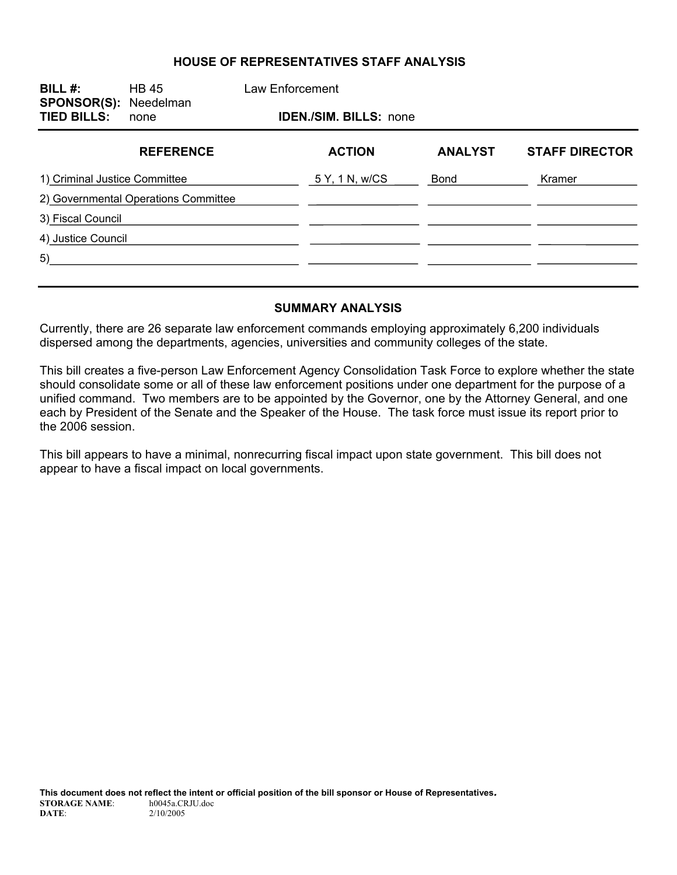### **HOUSE OF REPRESENTATIVES STAFF ANALYSIS**

| BILL $#$ :<br><b>SPONSOR(S): Needelman</b><br><b>TIED BILLS:</b> | <b>HB 45</b><br>none                 | Law Enforcement |                               |                |                       |
|------------------------------------------------------------------|--------------------------------------|-----------------|-------------------------------|----------------|-----------------------|
|                                                                  |                                      |                 | <b>IDEN./SIM. BILLS: none</b> |                |                       |
|                                                                  | <b>REFERENCE</b>                     |                 | <b>ACTION</b>                 | <b>ANALYST</b> | <b>STAFF DIRECTOR</b> |
| 1) Criminal Justice Committee                                    |                                      |                 | 5 Y, 1 N, w/CS                | Bond           | Kramer                |
|                                                                  | 2) Governmental Operations Committee |                 |                               |                |                       |
| 3) Fiscal Council                                                |                                      |                 |                               |                |                       |
| 4) Justice Council                                               |                                      |                 |                               |                |                       |
| 5)                                                               |                                      |                 |                               |                |                       |
|                                                                  |                                      |                 |                               |                |                       |

#### **SUMMARY ANALYSIS**

Currently, there are 26 separate law enforcement commands employing approximately 6,200 individuals dispersed among the departments, agencies, universities and community colleges of the state.

This bill creates a five-person Law Enforcement Agency Consolidation Task Force to explore whether the state should consolidate some or all of these law enforcement positions under one department for the purpose of a unified command. Two members are to be appointed by the Governor, one by the Attorney General, and one each by President of the Senate and the Speaker of the House. The task force must issue its report prior to the 2006 session.

This bill appears to have a minimal, nonrecurring fiscal impact upon state government. This bill does not appear to have a fiscal impact on local governments.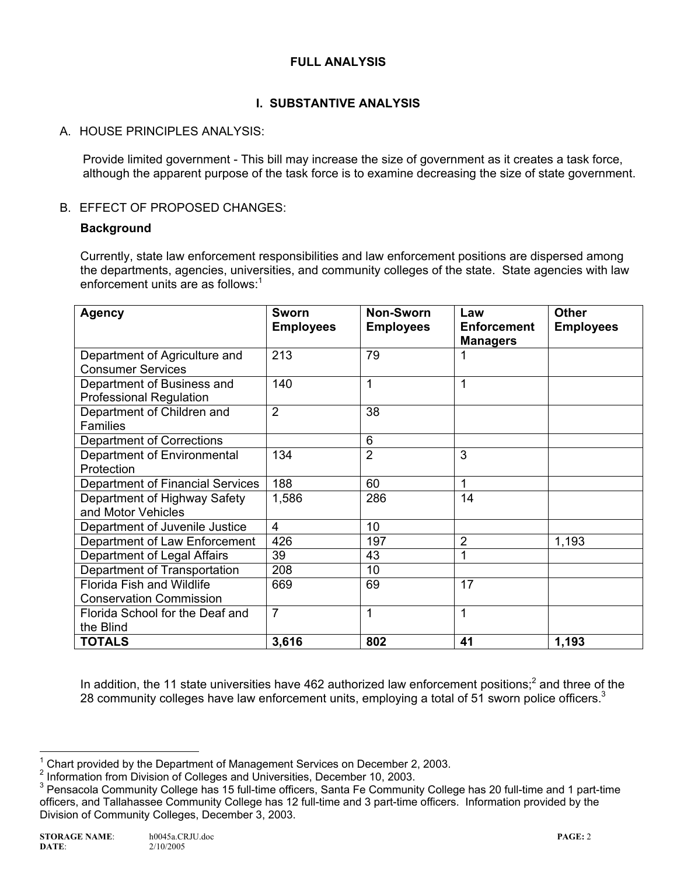## **FULL ANALYSIS**

# **I. SUBSTANTIVE ANALYSIS**

## A. HOUSE PRINCIPLES ANALYSIS:

Provide limited government - This bill may increase the size of government as it creates a task force, although the apparent purpose of the task force is to examine decreasing the size of state government.

### B. EFFECT OF PROPOSED CHANGES:

### **Background**

Currently, state law enforcement responsibilities and law enforcement positions are dispersed among the departments, agencies, universities, and community colleges of the state. State agencies with law enforcement units are as follows: $1$ 

| <b>Agency</b>                                                      | Sworn<br><b>Employees</b> | <b>Non-Sworn</b><br><b>Employees</b> | Law<br><b>Enforcement</b><br><b>Managers</b> | <b>Other</b><br><b>Employees</b> |
|--------------------------------------------------------------------|---------------------------|--------------------------------------|----------------------------------------------|----------------------------------|
| Department of Agriculture and<br><b>Consumer Services</b>          | 213                       | 79                                   |                                              |                                  |
| Department of Business and<br><b>Professional Regulation</b>       | 140                       | 1                                    |                                              |                                  |
| Department of Children and<br><b>Families</b>                      | $\overline{2}$            | 38                                   |                                              |                                  |
| Department of Corrections                                          |                           | 6                                    |                                              |                                  |
| Department of Environmental<br>Protection                          | 134                       | $\overline{2}$                       | 3                                            |                                  |
| Department of Financial Services                                   | 188                       | 60                                   | 1                                            |                                  |
| Department of Highway Safety<br>and Motor Vehicles                 | 1,586                     | 286                                  | 14                                           |                                  |
| Department of Juvenile Justice                                     | $\overline{4}$            | 10                                   |                                              |                                  |
| Department of Law Enforcement                                      | 426                       | 197                                  | 2                                            | 1,193                            |
| Department of Legal Affairs                                        | 39                        | 43                                   |                                              |                                  |
| Department of Transportation                                       | 208                       | 10                                   |                                              |                                  |
| <b>Florida Fish and Wildlife</b><br><b>Conservation Commission</b> | 669                       | 69                                   | 17                                           |                                  |
| Florida School for the Deaf and<br>the Blind                       | $\overline{7}$            | 1                                    | 1                                            |                                  |
| <b>TOTALS</b>                                                      | 3,616                     | 802                                  | 41                                           | 1,193                            |

In addition, the 11 state universities have 462 authorized law enforcement positions;<sup>2</sup> and three of the 28 community colleges have law enforcement units, employing a total of 51 sworn police officers. $3$ 

THE TREAD TREAD TREAD TREAD TREAD TREAD TREAD TREAD TREAD TREAD TREAD TREAD TREAD TREAD TREAD TREAD TREAD TREA<br>The December 2, 2003.

<sup>&</sup>lt;sup>2</sup> Information from Division of Colleges and Universities, December 10, 2003.

<sup>&</sup>lt;sup>3</sup> Pensacola Community College has 15 full-time officers, Santa Fe Community College has 20 full-time and 1 part-time officers, and Tallahassee Community College has 12 full-time and 3 part-time officers. Information provided by the Division of Community Colleges, December 3, 2003.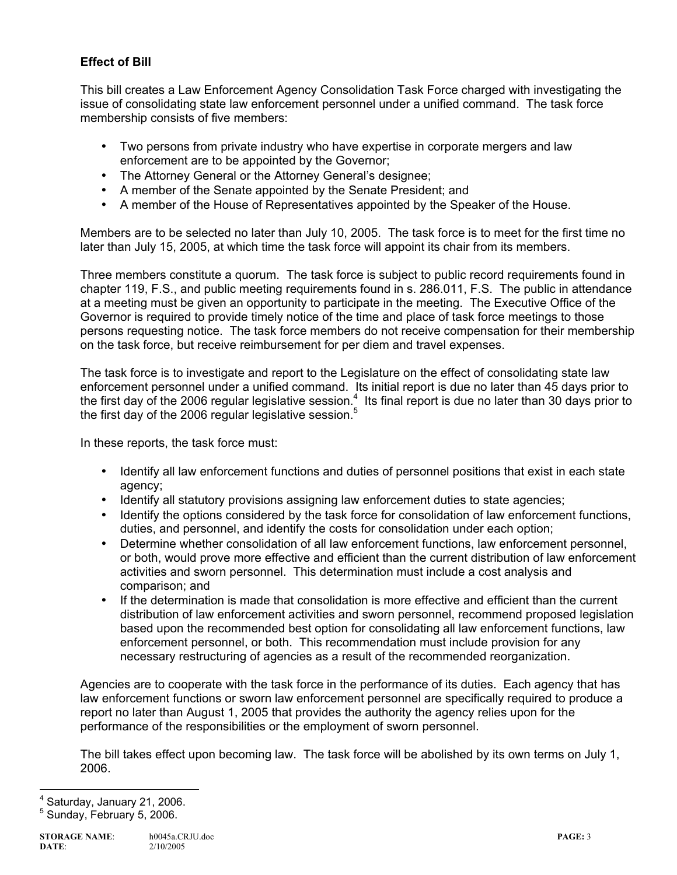# **Effect of Bill**

This bill creates a Law Enforcement Agency Consolidation Task Force charged with investigating the issue of consolidating state law enforcement personnel under a unified command. The task force membership consists of five members:

- Two persons from private industry who have expertise in corporate mergers and law enforcement are to be appointed by the Governor;
- The Attorney General or the Attorney General's designee;
- A member of the Senate appointed by the Senate President; and
- A member of the House of Representatives appointed by the Speaker of the House.

Members are to be selected no later than July 10, 2005. The task force is to meet for the first time no later than July 15, 2005, at which time the task force will appoint its chair from its members.

Three members constitute a quorum. The task force is subject to public record requirements found in chapter 119, F.S., and public meeting requirements found in s. 286.011, F.S. The public in attendance at a meeting must be given an opportunity to participate in the meeting. The Executive Office of the Governor is required to provide timely notice of the time and place of task force meetings to those persons requesting notice. The task force members do not receive compensation for their membership on the task force, but receive reimbursement for per diem and travel expenses.

The task force is to investigate and report to the Legislature on the effect of consolidating state law enforcement personnel under a unified command. Its initial report is due no later than 45 days prior to the first day of the 2006 regular legislative session.<sup>4</sup> Its final report is due no later than 30 days prior to the first day of the 2006 regular legislative session.<sup>5</sup>

In these reports, the task force must:

- Identify all law enforcement functions and duties of personnel positions that exist in each state agency;
- Identify all statutory provisions assigning law enforcement duties to state agencies;
- Identify the options considered by the task force for consolidation of law enforcement functions, duties, and personnel, and identify the costs for consolidation under each option;
- Determine whether consolidation of all law enforcement functions, law enforcement personnel, or both, would prove more effective and efficient than the current distribution of law enforcement activities and sworn personnel. This determination must include a cost analysis and comparison; and
- If the determination is made that consolidation is more effective and efficient than the current distribution of law enforcement activities and sworn personnel, recommend proposed legislation based upon the recommended best option for consolidating all law enforcement functions, law enforcement personnel, or both. This recommendation must include provision for any necessary restructuring of agencies as a result of the recommended reorganization.

Agencies are to cooperate with the task force in the performance of its duties. Each agency that has law enforcement functions or sworn law enforcement personnel are specifically required to produce a report no later than August 1, 2005 that provides the authority the agency relies upon for the performance of the responsibilities or the employment of sworn personnel.

The bill takes effect upon becoming law. The task force will be abolished by its own terms on July 1, 2006.

ــ<br>4 Saturday, January 21, 2006.

<sup>5</sup> Sunday, February 5, 2006.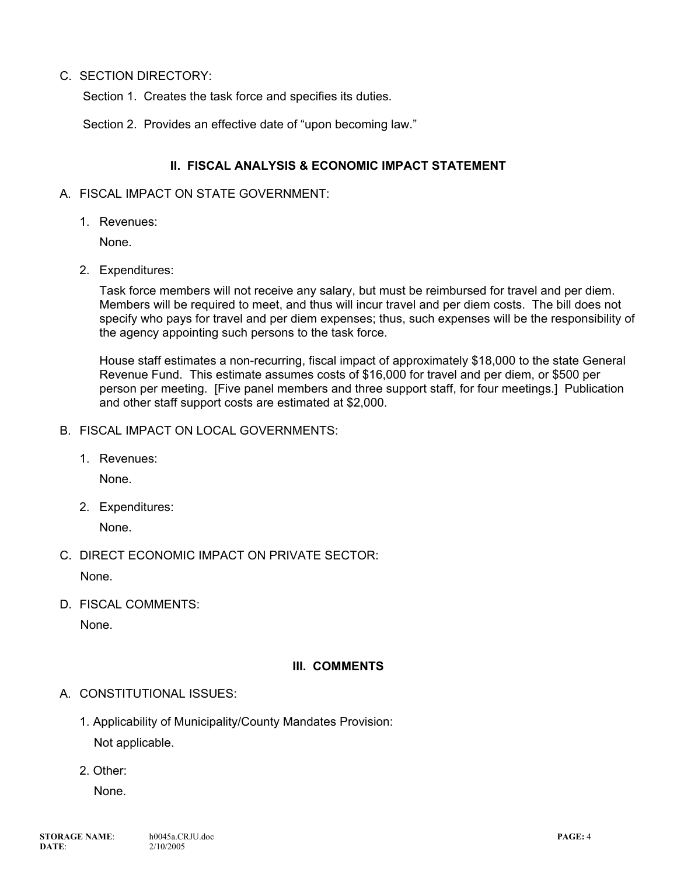### C. SECTION DIRECTORY:

Section 1. Creates the task force and specifies its duties.

Section 2. Provides an effective date of "upon becoming law."

### **II. FISCAL ANALYSIS & ECONOMIC IMPACT STATEMENT**

#### A. FISCAL IMPACT ON STATE GOVERNMENT:

1. Revenues:

None.

2. Expenditures:

Task force members will not receive any salary, but must be reimbursed for travel and per diem. Members will be required to meet, and thus will incur travel and per diem costs. The bill does not specify who pays for travel and per diem expenses; thus, such expenses will be the responsibility of the agency appointing such persons to the task force.

House staff estimates a non-recurring, fiscal impact of approximately \$18,000 to the state General Revenue Fund. This estimate assumes costs of \$16,000 for travel and per diem, or \$500 per person per meeting. [Five panel members and three support staff, for four meetings.] Publication and other staff support costs are estimated at \$2,000.

- B. FISCAL IMPACT ON LOCAL GOVERNMENTS:
	- 1. Revenues:

None.

2. Expenditures:

None.

C. DIRECT ECONOMIC IMPACT ON PRIVATE SECTOR:

None.

D. FISCAL COMMENTS:

None.

### **III. COMMENTS**

### A. CONSTITUTIONAL ISSUES:

1. Applicability of Municipality/County Mandates Provision:

Not applicable.

2. Other:

None.